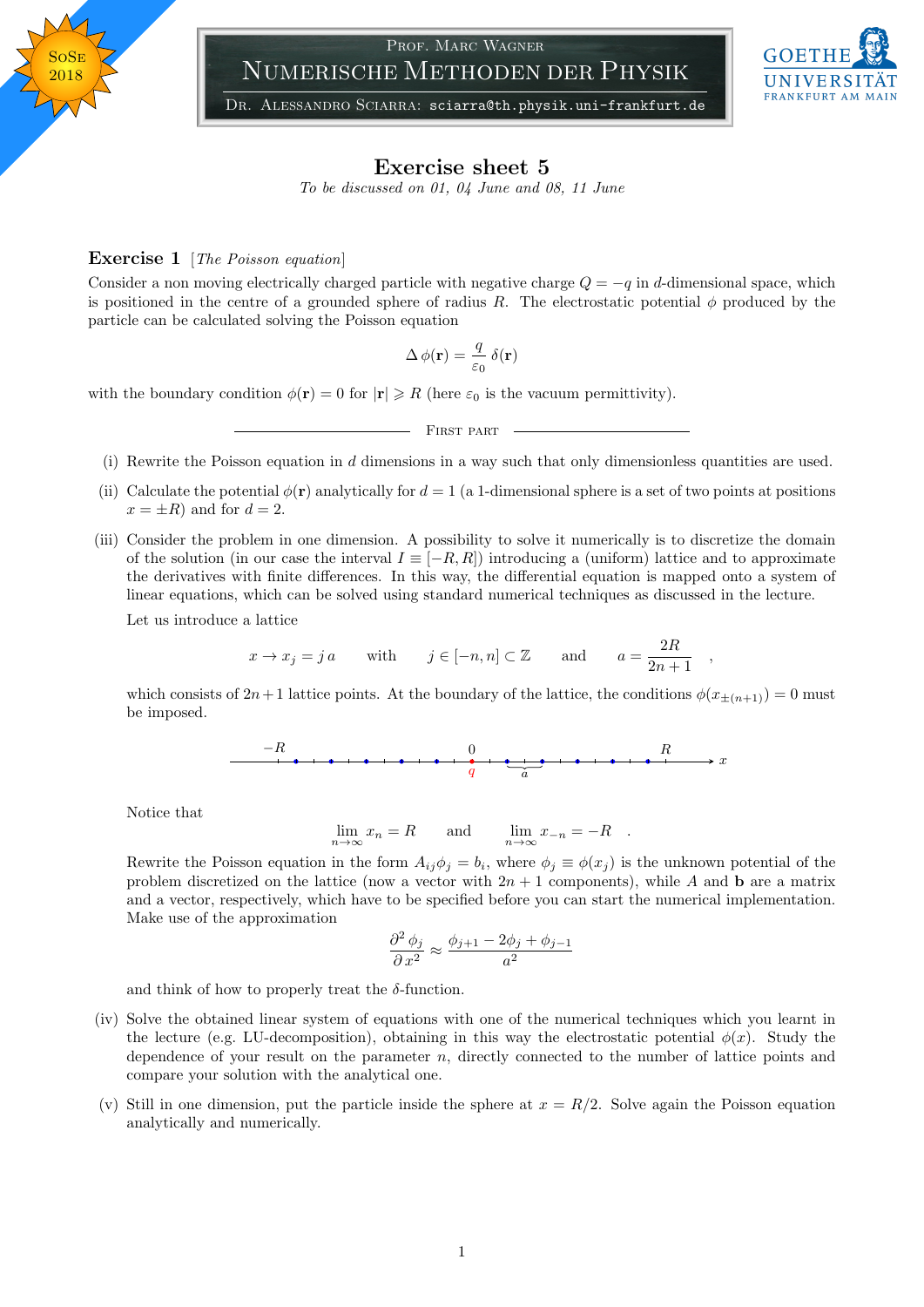## Prof. Marc Wagner Numerische Methoden der Physik



DR. ALESSANDRO SCIARRA: sciarra@th.physik.uni-frankfurt.de

## Exercise sheet 5

To be discussed on 01, 04 June and 08, 11 June

## **Exercise 1** [The Poisson equation]

Consider a non moving electrically charged particle with negative charge  $Q = -q$  in d-dimensional space, which is positioned in the centre of a grounded sphere of radius R. The electrostatic potential  $\phi$  produced by the particle can be calculated solving the Poisson equation

$$
\Delta\,\phi(\mathbf{r}) = \frac{q}{\varepsilon_0}\,\delta(\mathbf{r})
$$

with the boundary condition  $\phi(\mathbf{r}) = 0$  for  $|\mathbf{r}| \ge R$  (here  $\varepsilon_0$  is the vacuum permittivity).

- FIRST PART

- (i) Rewrite the Poisson equation in d dimensions in a way such that only dimensionless quantities are used.
- (ii) Calculate the potential  $\phi(\mathbf{r})$  analytically for  $d = 1$  (a 1-dimensional sphere is a set of two points at positions  $x = \pm R$  and for  $d = 2$ .
- (iii) Consider the problem in one dimension. A possibility to solve it numerically is to discretize the domain of the solution (in our case the interval  $I \equiv [-R, R]$ ) introducing a (uniform) lattice and to approximate the derivatives with finite differences. In this way, the differential equation is mapped onto a system of linear equations, which can be solved using standard numerical techniques as discussed in the lecture. Let us introduce a lattice

$$
x \to x_j = ja
$$
 with  $j \in [-n, n] \subset \mathbb{Z}$  and  $a = \frac{2R}{2n+1}$ 

,

which consists of  $2n+1$  lattice points. At the boundary of the lattice, the conditions  $\phi(x_{\pm(n+1)}) = 0$  must be imposed.

x −R 0 R q a

Notice that

$$
\lim_{n \to \infty} x_n = R \quad \text{and} \quad \lim_{n \to \infty} x_{-n} = -R \quad .
$$

Rewrite the Poisson equation in the form  $A_{ij}\phi_j = b_i$ , where  $\phi_j \equiv \phi(x_j)$  is the unknown potential of the problem discretized on the lattice (now a vector with  $2n + 1$  components), while A and b are a matrix and a vector, respectively, which have to be specified before you can start the numerical implementation. Make use of the approximation

$$
\frac{\partial^2 \phi_j}{\partial x^2} \approx \frac{\phi_{j+1} - 2\phi_j + \phi_{j-1}}{a^2}
$$

and think of how to properly treat the  $\delta$ -function.

- (iv) Solve the obtained linear system of equations with one of the numerical techniques which you learnt in the lecture (e.g. LU-decomposition), obtaining in this way the electrostatic potential  $\phi(x)$ . Study the dependence of your result on the parameter n, directly connected to the number of lattice points and compare your solution with the analytical one.
- (v) Still in one dimension, put the particle inside the sphere at  $x = R/2$ . Solve again the Poisson equation analytically and numerically.